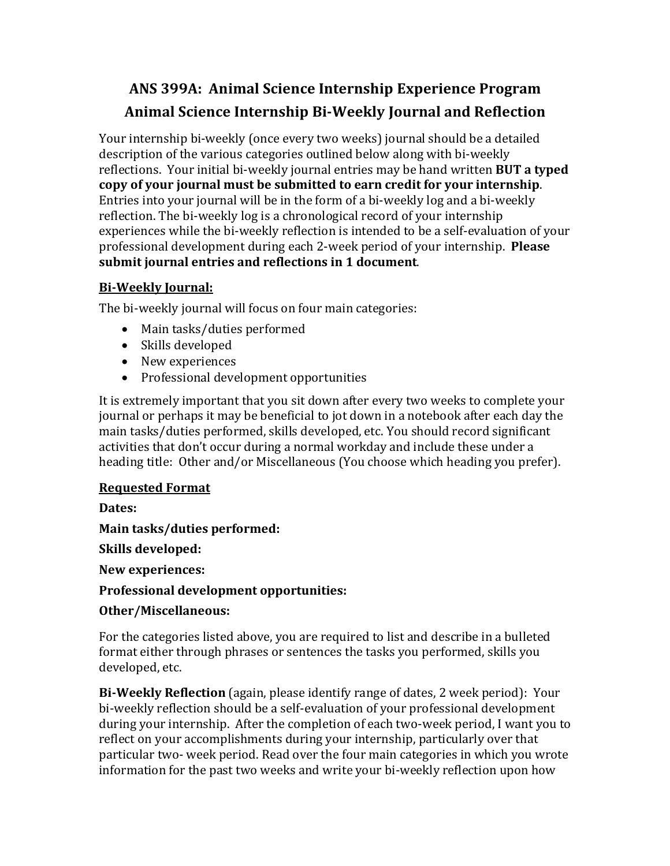## **ANS 399A: Animal Science Internship Experience Program Animal Science Internship Bi-Weekly Journal and Reflection**

Your internship bi-weekly (once every two weeks) journal should be a detailed description of the various categories outlined below along with bi-weekly reflections. Your initial bi-weekly journal entries may be hand written **BUT** a typed copy of your journal must be submitted to earn credit for your internship. Entries into your journal will be in the form of a bi-weekly log and a bi-weekly reflection. The bi-weekly log is a chronological record of your internship experiences while the bi-weekly reflection is intended to be a self-evaluation of your professional development during each 2-week period of your internship. Please submit journal entries and reflections in 1 document.

## **Bi-Weekly Journal:**

The bi-weekly journal will focus on four main categories:

- Main tasks/duties performed
- Skills developed
- New experiences
- Professional development opportunities

It is extremely important that you sit down after every two weeks to complete your journal or perhaps it may be beneficial to jot down in a notebook after each day the main tasks/duties performed, skills developed, etc. You should record significant activities that don't occur during a normal workday and include these under a heading title: Other and/or Miscellaneous (You choose which heading you prefer).

## **Requested Format**

**Dates: Main tasks/duties performed: Skills developed: New experiences: Professional development opportunities: Other/Miscellaneous:** 

For the categories listed above, you are required to list and describe in a bulleted format either through phrases or sentences the tasks you performed, skills you developed, etc.

**Bi-Weekly Reflection** (again, please identify range of dates, 2 week period): Your bi-weekly reflection should be a self-evaluation of your professional development during your internship. After the completion of each two-week period. I want you to reflect on your accomplishments during your internship, particularly over that particular two- week period. Read over the four main categories in which you wrote information for the past two weeks and write your bi-weekly reflection upon how